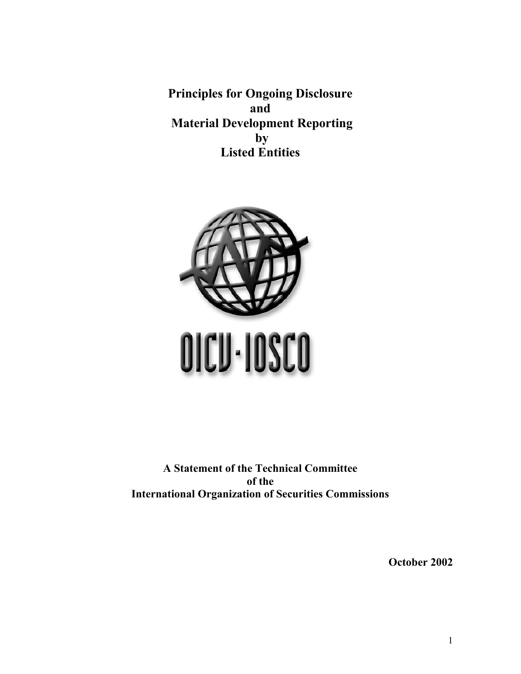**Principles for Ongoing Disclosure and Material Development Reporting by Listed Entities** 



**A Statement of the Technical Committee of the International Organization of Securities Commissions** 

**October 2002**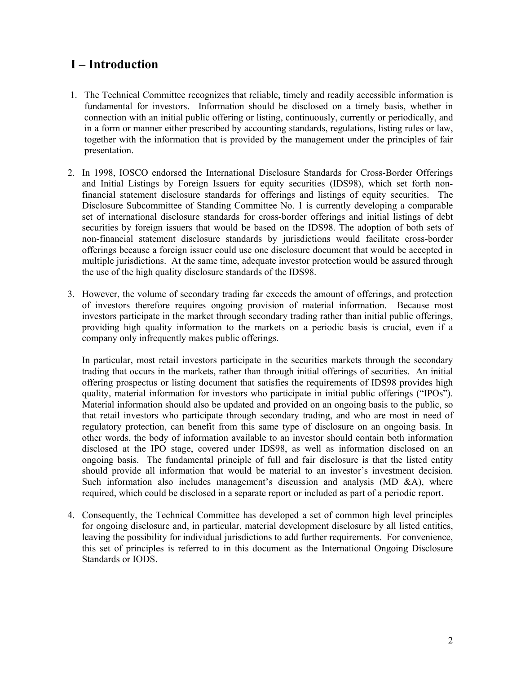# **I – Introduction**

- 1. The Technical Committee recognizes that reliable, timely and readily accessible information is fundamental for investors. Information should be disclosed on a timely basis, whether in connection with an initial public offering or listing, continuously, currently or periodically, and in a form or manner either prescribed by accounting standards, regulations, listing rules or law, together with the information that is provided by the management under the principles of fair presentation.
- 2. In 1998, IOSCO endorsed the International Disclosure Standards for Cross-Border Offerings and Initial Listings by Foreign Issuers for equity securities (IDS98), which set forth nonfinancial statement disclosure standards for offerings and listings of equity securities. The Disclosure Subcommittee of Standing Committee No. 1 is currently developing a comparable set of international disclosure standards for cross-border offerings and initial listings of debt securities by foreign issuers that would be based on the IDS98. The adoption of both sets of non-financial statement disclosure standards by jurisdictions would facilitate cross-border offerings because a foreign issuer could use one disclosure document that would be accepted in multiple jurisdictions. At the same time, adequate investor protection would be assured through the use of the high quality disclosure standards of the IDS98.
- 3. However, the volume of secondary trading far exceeds the amount of offerings, and protection of investors therefore requires ongoing provision of material information. Because most investors participate in the market through secondary trading rather than initial public offerings, providing high quality information to the markets on a periodic basis is crucial, even if a company only infrequently makes public offerings.

In particular, most retail investors participate in the securities markets through the secondary trading that occurs in the markets, rather than through initial offerings of securities. An initial offering prospectus or listing document that satisfies the requirements of IDS98 provides high quality, material information for investors who participate in initial public offerings ("IPOs"). Material information should also be updated and provided on an ongoing basis to the public, so that retail investors who participate through secondary trading, and who are most in need of regulatory protection, can benefit from this same type of disclosure on an ongoing basis. In other words, the body of information available to an investor should contain both information disclosed at the IPO stage, covered under IDS98, as well as information disclosed on an ongoing basis. The fundamental principle of full and fair disclosure is that the listed entity should provide all information that would be material to an investor's investment decision. Such information also includes management's discussion and analysis (MD  $\&$ A), where required, which could be disclosed in a separate report or included as part of a periodic report.

4. Consequently, the Technical Committee has developed a set of common high level principles for ongoing disclosure and, in particular, material development disclosure by all listed entities, leaving the possibility for individual jurisdictions to add further requirements. For convenience, this set of principles is referred to in this document as the International Ongoing Disclosure Standards or IODS.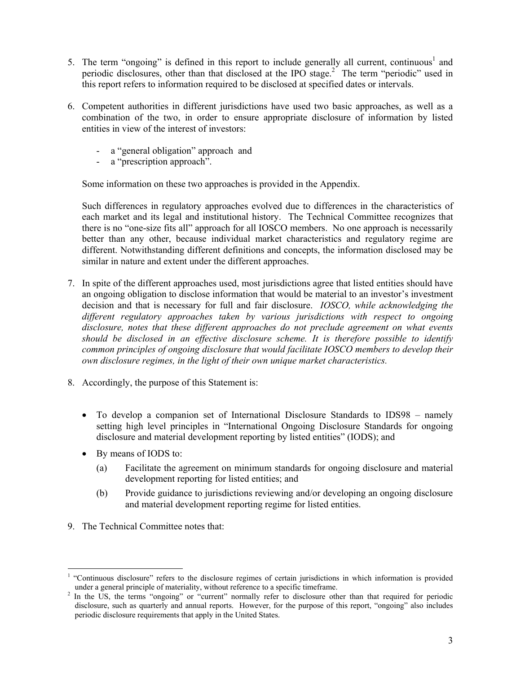- 5. The term "ongoing" is defined in this report to include generally all current, continuous<sup>1</sup> and periodic disclosures, other than that disclosed at the IPO stage.<sup>2</sup> The term "periodic" used in this report refers to information required to be disclosed at specified dates or intervals.
- 6. Competent authorities in different jurisdictions have used two basic approaches, as well as a combination of the two, in order to ensure appropriate disclosure of information by listed entities in view of the interest of investors:
	- a "general obligation" approach and
	- a "prescription approach".

Some information on these two approaches is provided in the Appendix.

Such differences in regulatory approaches evolved due to differences in the characteristics of each market and its legal and institutional history. The Technical Committee recognizes that there is no "one-size fits all" approach for all IOSCO members. No one approach is necessarily better than any other, because individual market characteristics and regulatory regime are different. Notwithstanding different definitions and concepts, the information disclosed may be similar in nature and extent under the different approaches.

- 7. In spite of the different approaches used, most jurisdictions agree that listed entities should have an ongoing obligation to disclose information that would be material to an investor's investment decision and that is necessary for full and fair disclosure. *IOSCO, while acknowledging the different regulatory approaches taken by various jurisdictions with respect to ongoing disclosure, notes that these different approaches do not preclude agreement on what events should be disclosed in an effective disclosure scheme. It is therefore possible to identify common principles of ongoing disclosure that would facilitate IOSCO members to develop their own disclosure regimes, in the light of their own unique market characteristics.*
- 8. Accordingly, the purpose of this Statement is:
	- To develop a companion set of International Disclosure Standards to IDS98 namely setting high level principles in "International Ongoing Disclosure Standards for ongoing disclosure and material development reporting by listed entities" (IODS); and
	- By means of IODS to:
		- (a) Facilitate the agreement on minimum standards for ongoing disclosure and material development reporting for listed entities; and
		- (b) Provide guidance to jurisdictions reviewing and/or developing an ongoing disclosure and material development reporting regime for listed entities.
- 9. The Technical Committee notes that:

 $\overline{a}$ 

<sup>1</sup> "Continuous disclosure" refers to the disclosure regimes of certain jurisdictions in which information is provided under a general principle of materiality, without reference to a specific timeframe.

In the US, the terms "ongoing" or "current" normally refer to disclosure other than that required for periodic disclosure, such as quarterly and annual reports. However, for the purpose of this report, "ongoing" also includes periodic disclosure requirements that apply in the United States.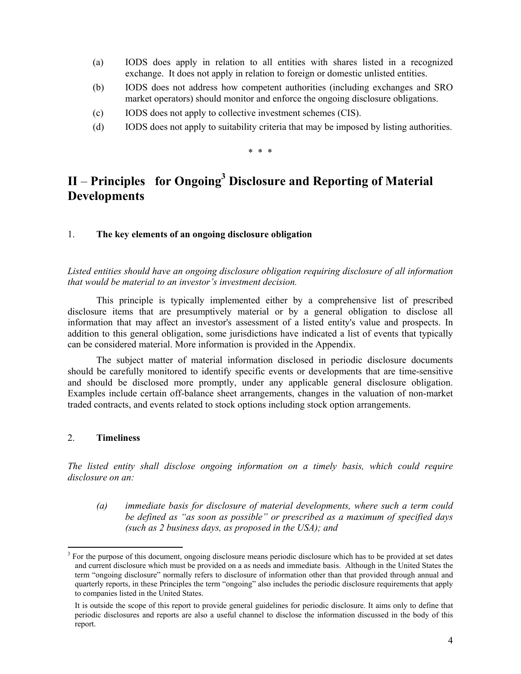- (a) IODS does apply in relation to all entities with shares listed in a recognized exchange. It does not apply in relation to foreign or domestic unlisted entities.
- (b) IODS does not address how competent authorities (including exchanges and SRO market operators) should monitor and enforce the ongoing disclosure obligations.
- (c) IODS does not apply to collective investment schemes (CIS).
- (d) IODS does not apply to suitability criteria that may be imposed by listing authorities.

\* \* \*

# II – Principles for Ongoing<sup>3</sup> Disclosure and Reporting of Material **Developments**

### 1. **The key elements of an ongoing disclosure obligation**

*Listed entities should have an ongoing disclosure obligation requiring disclosure of all information that would be material to an investor's investment decision.* 

This principle is typically implemented either by a comprehensive list of prescribed disclosure items that are presumptively material or by a general obligation to disclose all information that may affect an investor's assessment of a listed entity's value and prospects. In addition to this general obligation, some jurisdictions have indicated a list of events that typically can be considered material. More information is provided in the Appendix.

The subject matter of material information disclosed in periodic disclosure documents should be carefully monitored to identify specific events or developments that are time-sensitive and should be disclosed more promptly, under any applicable general disclosure obligation. Examples include certain off-balance sheet arrangements, changes in the valuation of non-market traded contracts, and events related to stock options including stock option arrangements.

## 2. **Timeliness**

-

*The listed entity shall disclose ongoing information on a timely basis, which could require disclosure on an:* 

*(a) immediate basis for disclosure of material developments, where such a term could be defined as "as soon as possible" or prescribed as a maximum of specified days (such as 2 business days, as proposed in the USA); and* 

<sup>3</sup> For the purpose of this document, ongoing disclosure means periodic disclosure which has to be provided at set dates and current disclosure which must be provided on a as needs and immediate basis. Although in the United States the term "ongoing disclosure" normally refers to disclosure of information other than that provided through annual and quarterly reports, in these Principles the term "ongoing" also includes the periodic disclosure requirements that apply to companies listed in the United States.

It is outside the scope of this report to provide general guidelines for periodic disclosure. It aims only to define that periodic disclosures and reports are also a useful channel to disclose the information discussed in the body of this report.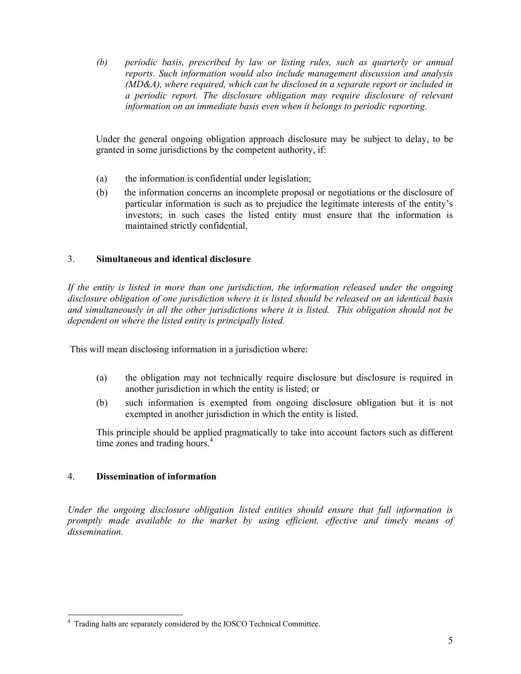*(b) periodic basis, prescribed by law or listing rules, such as quarterly or annual reports. Such information would also include management discussion and analysis (MD&A), where required, which can be disclosed in a separate report or included in a periodic report. The disclosure obligation may require disclosure of relevant information on an immediate basis even when it belongs to periodic reporting.* 

Under the general ongoing obligation approach disclosure may be subject to delay, to be granted in some jurisdictions by the competent authority, if:

- (a) the information is confidential under legislation;
- (b) the information concerns an incomplete proposal or negotiations or the disclosure of particular information is such as to prejudice the legitimate interests of the entity's investors; in such cases the listed entity must ensure that the information is maintained strictly confidential.

## 3. **Simultaneous and identical disclosure**

*If the entity is listed in more than one jurisdiction, the information released under the ongoing disclosure obligation of one jurisdiction where it is listed should be released on an identical basis and simultaneously in all the other jurisdictions where it is listed. This obligation should not be dependent on where the listed entity is principally listed.* 

This will mean disclosing information in a jurisdiction where:

- (a) the obligation may not technically require disclosure but disclosure is required in another jurisdiction in which the entity is listed; or
- (b) such information is exempted from ongoing disclosure obligation but it is not exempted in another jurisdiction in which the entity is listed.

This principle should be applied pragmatically to take into account factors such as different time zones and trading hours.<sup>4</sup>

## 4. **Dissemination of information**

*Under the ongoing disclosure obligation listed entities should ensure that full information is promptly made available to the market by using efficient, effective and timely means of dissemination.* 

 4 Trading halts are separately considered by the IOSCO Technical Committee.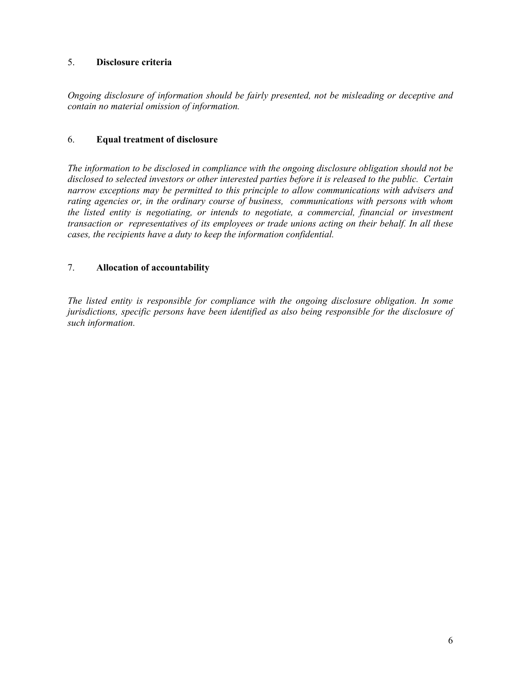## 5. **Disclosure criteria**

*Ongoing disclosure of information should be fairly presented, not be misleading or deceptive and contain no material omission of information.* 

## 6. **Equal treatment of disclosure**

*The information to be disclosed in compliance with the ongoing disclosure obligation should not be disclosed to selected investors or other interested parties before it is released to the public. Certain narrow exceptions may be permitted to this principle to allow communications with advisers and rating agencies or, in the ordinary course of business, communications with persons with whom the listed entity is negotiating, or intends to negotiate, a commercial, financial or investment transaction or representatives of its employees or trade unions acting on their behalf. In all these cases, the recipients have a duty to keep the information confidential.* 

## 7. **Allocation of accountability**

*The listed entity is responsible for compliance with the ongoing disclosure obligation. In some jurisdictions, specific persons have been identified as also being responsible for the disclosure of such information.*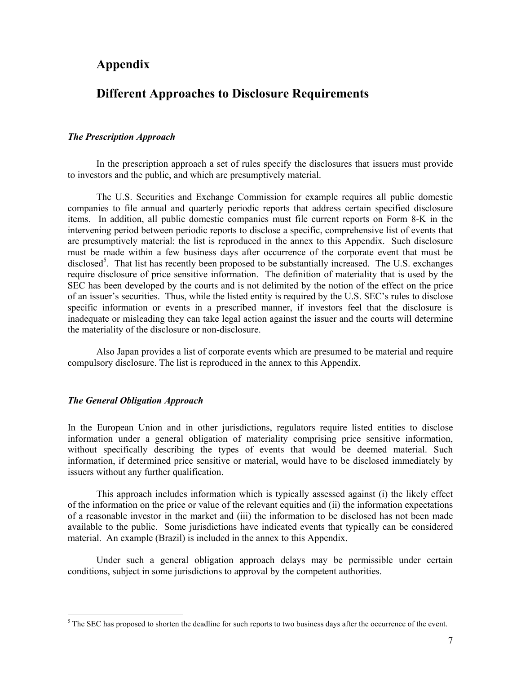# **Appendix**

# **Different Approaches to Disclosure Requirements**

#### *The Prescription Approach*

In the prescription approach a set of rules specify the disclosures that issuers must provide to investors and the public, and which are presumptively material.

The U.S. Securities and Exchange Commission for example requires all public domestic companies to file annual and quarterly periodic reports that address certain specified disclosure items. In addition, all public domestic companies must file current reports on Form 8-K in the intervening period between periodic reports to disclose a specific, comprehensive list of events that are presumptively material: the list is reproduced in the annex to this Appendix. Such disclosure must be made within a few business days after occurrence of the corporate event that must be disclosed<sup>5</sup>. That list has recently been proposed to be substantially increased. The U.S. exchanges require disclosure of price sensitive information. The definition of materiality that is used by the SEC has been developed by the courts and is not delimited by the notion of the effect on the price of an issuer's securities. Thus, while the listed entity is required by the U.S. SEC's rules to disclose specific information or events in a prescribed manner, if investors feel that the disclosure is inadequate or misleading they can take legal action against the issuer and the courts will determine the materiality of the disclosure or non-disclosure.

Also Japan provides a list of corporate events which are presumed to be material and require compulsory disclosure. The list is reproduced in the annex to this Appendix.

#### *The General Obligation Approach*

In the European Union and in other jurisdictions, regulators require listed entities to disclose information under a general obligation of materiality comprising price sensitive information, without specifically describing the types of events that would be deemed material. Such information, if determined price sensitive or material, would have to be disclosed immediately by issuers without any further qualification.

This approach includes information which is typically assessed against (i) the likely effect of the information on the price or value of the relevant equities and (ii) the information expectations of a reasonable investor in the market and (iii) the information to be disclosed has not been made available to the public. Some jurisdictions have indicated events that typically can be considered material. An example (Brazil) is included in the annex to this Appendix.

Under such a general obligation approach delays may be permissible under certain conditions, subject in some jurisdictions to approval by the competent authorities.

<sup>&</sup>lt;sup>5</sup> The SEC has proposed to shorten the deadline for such reports to two business days after the occurrence of the event.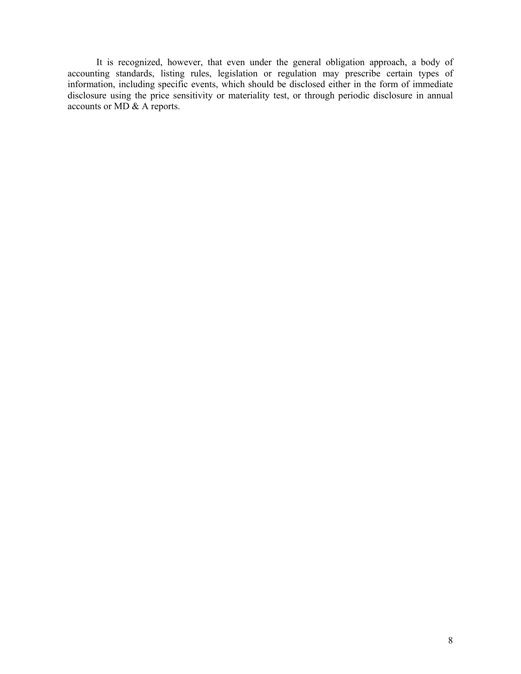It is recognized, however, that even under the general obligation approach, a body of accounting standards, listing rules, legislation or regulation may prescribe certain types of information, including specific events, which should be disclosed either in the form of immediate disclosure using the price sensitivity or materiality test, or through periodic disclosure in annual accounts or MD & A reports.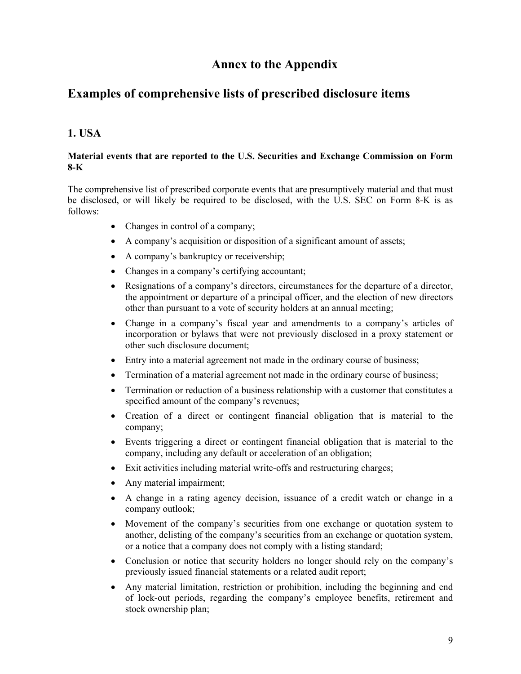# **Annex to the Appendix**

# **Examples of comprehensive lists of prescribed disclosure items**

# **1. USA**

## **Material events that are reported to the U.S. Securities and Exchange Commission on Form 8-K**

The comprehensive list of prescribed corporate events that are presumptively material and that must be disclosed, or will likely be required to be disclosed, with the U.S. SEC on Form 8-K is as follows:

- Changes in control of a company;
- A company's acquisition or disposition of a significant amount of assets;
- A company's bankruptcy or receivership;
- Changes in a company's certifying accountant;
- Resignations of a company's directors, circumstances for the departure of a director, the appointment or departure of a principal officer, and the election of new directors other than pursuant to a vote of security holders at an annual meeting;
- Change in a company's fiscal year and amendments to a company's articles of incorporation or bylaws that were not previously disclosed in a proxy statement or other such disclosure document;
- Entry into a material agreement not made in the ordinary course of business;
- Termination of a material agreement not made in the ordinary course of business;
- Termination or reduction of a business relationship with a customer that constitutes a specified amount of the company's revenues;
- Creation of a direct or contingent financial obligation that is material to the company;
- Events triggering a direct or contingent financial obligation that is material to the company, including any default or acceleration of an obligation;
- Exit activities including material write-offs and restructuring charges;
- Any material impairment;
- A change in a rating agency decision, issuance of a credit watch or change in a company outlook;
- Movement of the company's securities from one exchange or quotation system to another, delisting of the company's securities from an exchange or quotation system, or a notice that a company does not comply with a listing standard;
- Conclusion or notice that security holders no longer should rely on the company's previously issued financial statements or a related audit report;
- Any material limitation, restriction or prohibition, including the beginning and end of lock-out periods, regarding the company's employee benefits, retirement and stock ownership plan;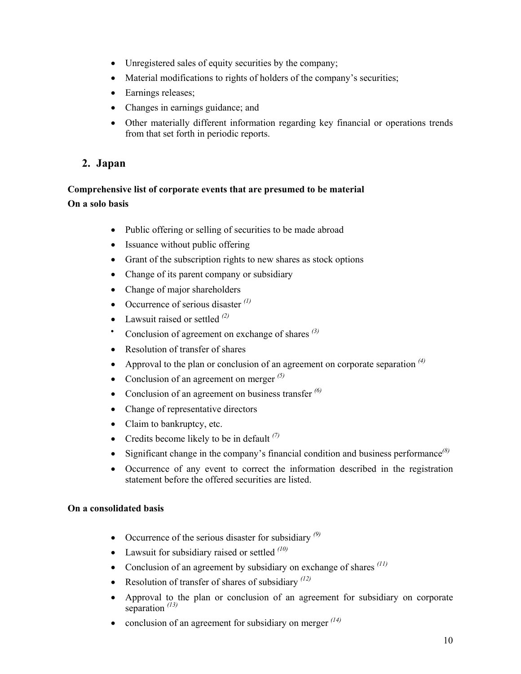- Unregistered sales of equity securities by the company;
- Material modifications to rights of holders of the company's securities;
- Earnings releases;
- Changes in earnings guidance; and
- Other materially different information regarding key financial or operations trends from that set forth in periodic reports.

# **2. Japan**

# **Comprehensive list of corporate events that are presumed to be material On a solo basis**

- Public offering or selling of securities to be made abroad
- Issuance without public offering
- Grant of the subscription rights to new shares as stock options
- Change of its parent company or subsidiary
- Change of major shareholders
- Occurrence of serious disaster *(1)*
- Lawsuit raised or settled *(2)*
- Conclusion of agreement on exchange of shares *(3)*
- Resolution of transfer of shares
- Approval to the plan or conclusion of an agreement on corporate separation *(4)*
- Conclusion of an agreement on merger *(5)*
- Conclusion of an agreement on business transfer *(6)*
- Change of representative directors
- Claim to bankruptcy, etc.
- Credits become likely to be in default *(7)*
- Significant change in the company's financial condition and business performance*(8)*
- Occurrence of any event to correct the information described in the registration statement before the offered securities are listed.

## **On a consolidated basis**

- Occurrence of the serious disaster for subsidiary *(9)*
- Lawsuit for subsidiary raised or settled *(10)*
- Conclusion of an agreement by subsidiary on exchange of shares *(11)*
- Resolution of transfer of shares of subsidiary <sup>(12)</sup>
- Approval to the plan or conclusion of an agreement for subsidiary on corporate separation *(13)*
- conclusion of an agreement for subsidiary on merger  $(14)$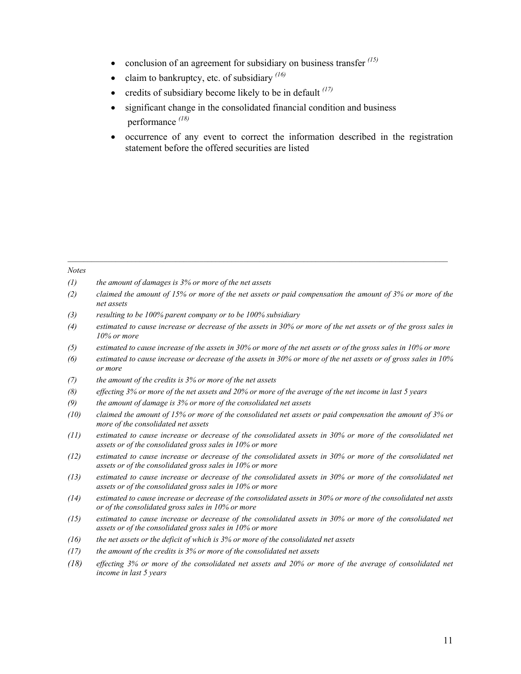- conclusion of an agreement for subsidiary on business transfer <sup>(15)</sup>
- claim to bankruptcy, etc. of subsidiary *(16)*
- credits of subsidiary become likely to be in default *(17)*
- significant change in the consolidated financial condition and business performance *(18)*
- occurrence of any event to correct the information described in the registration statement before the offered securities are listed

#### *Notes*

*(1) the amount of damages is 3% or more of the net assets* 

- *(2) claimed the amount of 15% or more of the net assets or paid compensation the amount of 3% or more of the net assets*
- *(3) resulting to be 100% parent company or to be 100% subsidiary*
- *(4) estimated to cause increase or decrease of the assets in 30% or more of the net assets or of the gross sales in 10% or more*
- *(5) estimated to cause increase of the assets in 30% or more of the net assets or of the gross sales in 10% or more*
- *(6) estimated to cause increase or decrease of the assets in 30% or more of the net assets or of gross sales in 10% or more*
- *(7) the amount of the credits is 3% or more of the net assets*
- *(8) effecting 3% or more of the net assets and 20% or more of the average of the net income in last 5 years*
- *(9) the amount of damage is 3% or more of the consolidated net assets*
- *(10) claimed the amount of 15% or more of the consolidated net assets or paid compensation the amount of 3% or more of the consolidated net assets*
- *(11) estimated to cause increase or decrease of the consolidated assets in 30% or more of the consolidated net assets or of the consolidated gross sales in 10% or more*
- *(12) estimated to cause increase or decrease of the consolidated assets in 30% or more of the consolidated net assets or of the consolidated gross sales in 10% or more*
- *(13) estimated to cause increase or decrease of the consolidated assets in 30% or more of the consolidated net assets or of the consolidated gross sales in 10% or more*
- *(14) estimated to cause increase or decrease of the consolidated assets in 30% or more of the consolidated net assts or of the consolidated gross sales in 10% or more*
- *(15) estimated to cause increase or decrease of the consolidated assets in 30% or more of the consolidated net assets or of the consolidated gross sales in 10% or more*
- *(16) the net assets or the deficit of which is 3% or more of the consolidated net assets*
- *(17) the amount of the credits is 3% or more of the consolidated net assets*
- *(18) effecting 3% or more of the consolidated net assets and 20% or more of the average of consolidated net income in last 5 years*